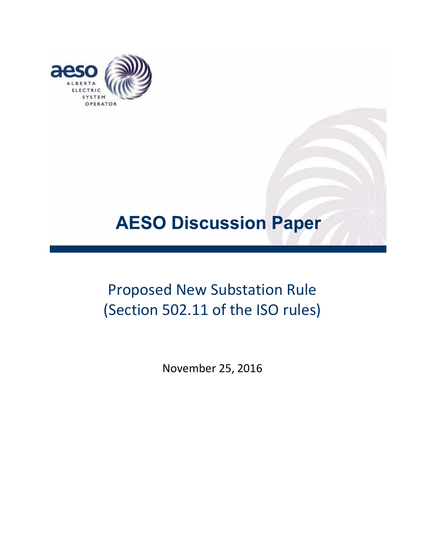

# **AESO Discussion Paper**

# Proposed New Substation Rule (Section 502.11 of the ISO rules)

November 25, 2016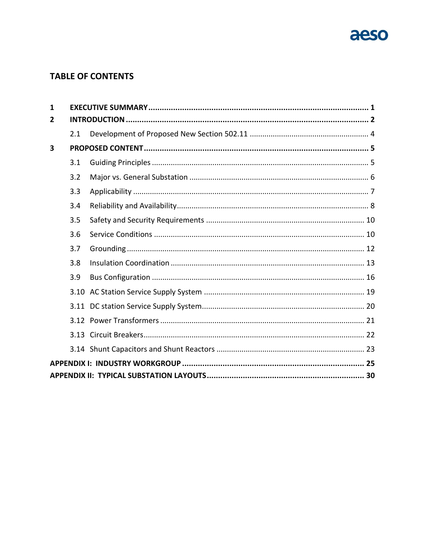

# **TABLE OF CONTENTS**

| 1              |     |  |  |  |  |
|----------------|-----|--|--|--|--|
| $\overline{2}$ |     |  |  |  |  |
|                | 2.1 |  |  |  |  |
| 3              |     |  |  |  |  |
|                | 3.1 |  |  |  |  |
|                | 3.2 |  |  |  |  |
|                | 3.3 |  |  |  |  |
|                | 3.4 |  |  |  |  |
|                | 3.5 |  |  |  |  |
|                | 3.6 |  |  |  |  |
|                | 3.7 |  |  |  |  |
|                | 3.8 |  |  |  |  |
|                | 3.9 |  |  |  |  |
|                |     |  |  |  |  |
|                |     |  |  |  |  |
|                |     |  |  |  |  |
|                |     |  |  |  |  |
|                |     |  |  |  |  |
|                |     |  |  |  |  |
|                |     |  |  |  |  |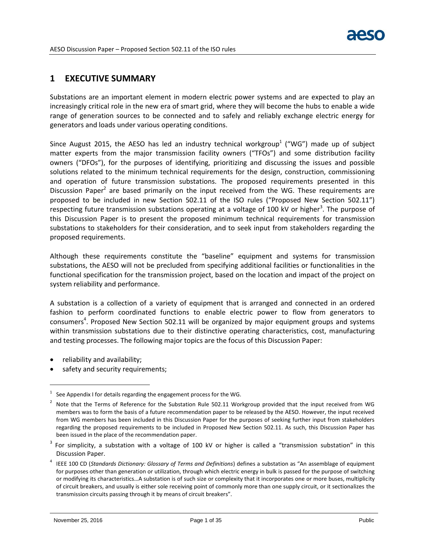# <span id="page-2-0"></span>**1 EXECUTIVE SUMMARY**

Substations are an important element in modern electric power systems and are expected to play an increasingly critical role in the new era of smart grid, where they will become the hubs to enable a wide range of generation sources to be connected and to safely and reliably exchange electric energy for generators and loads under various operating conditions.

Since August 2015, the AESO has led an industry technical workgroup<sup>1</sup> ("WG") made up of subject matter experts from the major transmission facility owners ("TFOs") and some distribution facility owners ("DFOs"), for the purposes of identifying, prioritizing and discussing the issues and possible solutions related to the minimum technical requirements for the design, construction, commissioning and operation of future transmission substations. The proposed requirements presented in this Discussion Paper<sup>2</sup> are based primarily on the input received from the WG. These requirements are proposed to be included in new Section 502.11 of the ISO rules ("Proposed New Section 502.11") respecting future transmission substations operating at a voltage of 100 kV or higher<sup>3</sup>. The purpose of this Discussion Paper is to present the proposed minimum technical requirements for transmission substations to stakeholders for their consideration, and to seek input from stakeholders regarding the proposed requirements.

Although these requirements constitute the "baseline" equipment and systems for transmission substations, the AESO will not be precluded from specifying additional facilities or functionalities in the functional specification for the transmission project, based on the location and impact of the project on system reliability and performance.

A substation is a collection of a variety of equipment that is arranged and connected in an ordered fashion to perform coordinated functions to enable electric power to flow from generators to consumers<sup>4</sup>. Proposed New Section 502.11 will be organized by major equipment groups and systems within transmission substations due to their distinctive operating characteristics, cost, manufacturing and testing processes. The following major topics are the focus of this Discussion Paper:

reliability and availability;

 $\overline{a}$ 

safety and security requirements;

<sup>1</sup> See Appendix I for details regarding the engagement process for the WG.

<sup>2</sup> Note that the Terms of Reference for the Substation Rule 502.11 Workgroup provided that the input received from WG members was to form the basis of a future recommendation paper to be released by the AESO. However, the input received from WG members has been included in this Discussion Paper for the purposes of seeking further input from stakeholders regarding the proposed requirements to be included in Proposed New Section 502.11. As such, this Discussion Paper has been issued in the place of the recommendation paper.

 $3$  For simplicity, a substation with a voltage of 100 kV or higher is called a "transmission substation" in this Discussion Paper.

<sup>4</sup> IEEE 100 CD (*Standards Dictionary: Glossary of Terms and Definitions*) defines a substation as "An assemblage of equipment for purposes other than generation or utilization, through which electric energy in bulk is passed for the purpose of switching or modifying its characteristics…A substation is of such size or complexity that it incorporates one or more buses, multiplicity of circuit breakers, and usually is either sole receiving point of commonly more than one supply circuit, or it sectionalizes the transmission circuits passing through it by means of circuit breakers".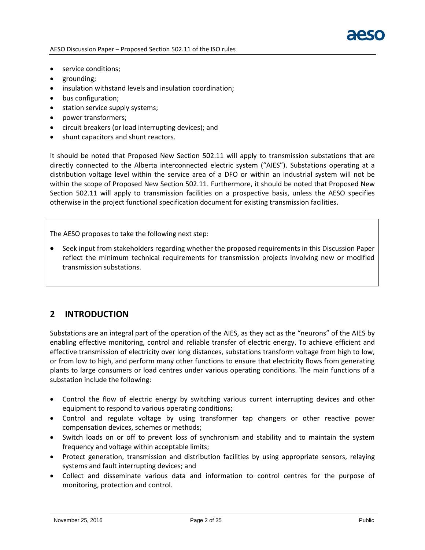

- service conditions;
- grounding;
- insulation withstand levels and insulation coordination;
- bus configuration;
- station service supply systems;
- power transformers;
- circuit breakers (or load interrupting devices); and
- shunt capacitors and shunt reactors.

It should be noted that Proposed New Section 502.11 will apply to transmission substations that are directly connected to the Alberta interconnected electric system ("AIES"). Substations operating at a distribution voltage level within the service area of a DFO or within an industrial system will not be within the scope of Proposed New Section 502.11. Furthermore, it should be noted that Proposed New Section 502.11 will apply to transmission facilities on a prospective basis, unless the AESO specifies otherwise in the project functional specification document for existing transmission facilities.

The AESO proposes to take the following next step:

 Seek input from stakeholders regarding whether the proposed requirements in this Discussion Paper reflect the minimum technical requirements for transmission projects involving new or modified transmission substations.

# <span id="page-3-0"></span>**2 INTRODUCTION**

Substations are an integral part of the operation of the AIES, as they act as the "neurons" of the AIES by enabling effective monitoring, control and reliable transfer of electric energy. To achieve efficient and effective transmission of electricity over long distances, substations transform voltage from high to low, or from low to high, and perform many other functions to ensure that electricity flows from generating plants to large consumers or load centres under various operating conditions. The main functions of a substation include the following:

- Control the flow of electric energy by switching various current interrupting devices and other equipment to respond to various operating conditions;
- Control and regulate voltage by using transformer tap changers or other reactive power compensation devices, schemes or methods;
- Switch loads on or off to prevent loss of synchronism and stability and to maintain the system frequency and voltage within acceptable limits;
- Protect generation, transmission and distribution facilities by using appropriate sensors, relaying systems and fault interrupting devices; and
- Collect and disseminate various data and information to control centres for the purpose of monitoring, protection and control.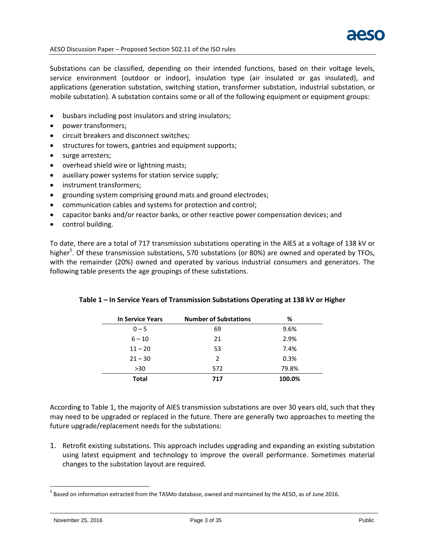

Substations can be classified, depending on their intended functions, based on their voltage levels, service environment (outdoor or indoor), insulation type (air insulated or gas insulated), and applications (generation substation, switching station, transformer substation, industrial substation, or mobile substation). A substation contains some or all of the following equipment or equipment groups:

- busbars including post insulators and string insulators;
- power transformers;
- circuit breakers and disconnect switches;
- structures for towers, gantries and equipment supports;
- surge arresters;
- overhead shield wire or lightning masts;
- auxiliary power systems for station service supply;
- instrument transformers;
- grounding system comprising ground mats and ground electrodes;
- communication cables and systems for protection and control;
- capacitor banks and/or reactor banks, or other reactive power compensation devices; and
- control building.

To date, there are a total of 717 transmission substations operating in the AIES at a voltage of 138 kV or higher<sup>5</sup>. Of these transmission substations, 570 substations (or 80%) are owned and operated by TFOs, with the remainder (20%) owned and operated by various industrial consumers and generators. The following table presents the age groupings of these substations.

| <b>In Service Years</b> | <b>Number of Substations</b> | %      |
|-------------------------|------------------------------|--------|
| $0 - 5$                 | 69                           | 9.6%   |
| $6 - 10$                | 21                           | 2.9%   |
| $11 - 20$               | 53                           | 7.4%   |
| $21 - 30$               | $\mathcal{L}$                | 0.3%   |
| $>30$                   | 572                          | 79.8%  |
| <b>Total</b>            | 717                          | 100.0% |

# **Table 1 – In Service Years of Transmission Substations Operating at 138 kV or Higher**

According to Table 1, the majority of AIES transmission substations are over 30 years old, such that they may need to be upgraded or replaced in the future. There are generally two approaches to meeting the future upgrade/replacement needs for the substations:

1. Retrofit existing substations. This approach includes upgrading and expanding an existing substation using latest equipment and technology to improve the overall performance. Sometimes material changes to the substation layout are required.

<sup>&</sup>lt;sup>5</sup> Based on information extracted from the TASMo database, owned and maintained by the AESO, as of June 2016.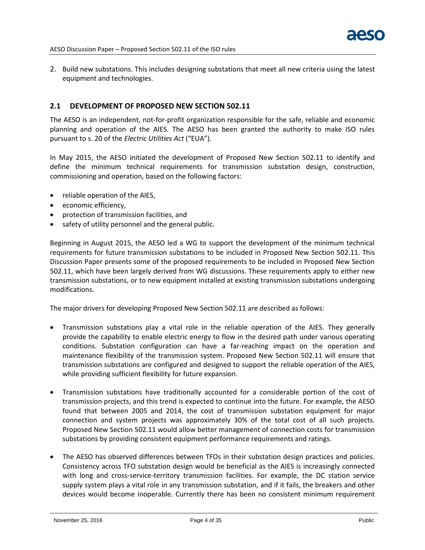2. Build new substations. This includes designing substations that meet all new criteria using the latest equipment and technologies.

#### <span id="page-5-0"></span>**2.1 DEVELOPMENT OF PROPOSED NEW SECTION 502.11**

The AESO is an independent, not-for-profit organization responsible for the safe, reliable and economic planning and operation of the AIES. The AESO has been granted the authority to make ISO rules pursuant to s. 20 of the *Electric Utilities Act* ("EUA").

In May 2015, the AESO initiated the development of Proposed New Section 502.11 to identify and define the minimum technical requirements for transmission substation design, construction, commissioning and operation, based on the following factors:

- reliable operation of the AIES,
- economic efficiency,
- protection of transmission facilities, and
- safety of utility personnel and the general public.

Beginning in August 2015, the AESO led a WG to support the development of the minimum technical requirements for future transmission substations to be included in Proposed New Section 502.11. This Discussion Paper presents some of the proposed requirements to be included in Proposed New Section 502.11, which have been largely derived from WG discussions. These requirements apply to either new transmission substations, or to new equipment installed at existing transmission substations undergoing modifications.

The major drivers for developing Proposed New Section 502.11 are described as follows:

- Transmission substations play a vital role in the reliable operation of the AIES. They generally provide the capability to enable electric energy to flow in the desired path under various operating conditions. Substation configuration can have a far-reaching impact on the operation and maintenance flexibility of the transmission system. Proposed New Section 502.11 will ensure that transmission substations are configured and designed to support the reliable operation of the AIES, while providing sufficient flexibility for future expansion.
- Transmission substations have traditionally accounted for a considerable portion of the cost of transmission projects, and this trend is expected to continue into the future. For example, the AESO found that between 2005 and 2014, the cost of transmission substation equipment for major connection and system projects was approximately 30% of the total cost of all such projects. Proposed New Section 502.11 would allow better management of connection costs for transmission substations by providing consistent equipment performance requirements and ratings.
- The AESO has observed differences between TFOs in their substation design practices and policies. Consistency across TFO substation design would be beneficial as the AIES is increasingly connected with long and cross-service-territory transmission facilities. For example, the DC station service supply system plays a vital role in any transmission substation, and if it fails, the breakers and other devices would become inoperable. Currently there has been no consistent minimum requirement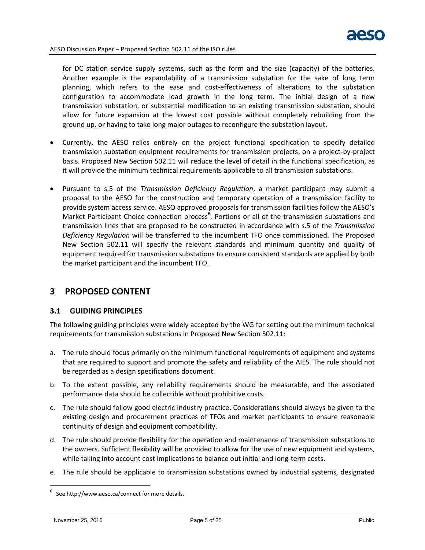

for DC station service supply systems, such as the form and the size (capacity) of the batteries. Another example is the expandability of a transmission substation for the sake of long term planning, which refers to the ease and cost-effectiveness of alterations to the substation configuration to accommodate load growth in the long term. The initial design of a new transmission substation, or substantial modification to an existing transmission substation, should allow for future expansion at the lowest cost possible without completely rebuilding from the ground up, or having to take long major outages to reconfigure the substation layout.

- Currently, the AESO relies entirely on the project functional specification to specify detailed transmission substation equipment requirements for transmission projects, on a project-by-project basis. Proposed New Section 502.11 will reduce the level of detail in the functional specification, as it will provide the minimum technical requirements applicable to all transmission substations.
- Pursuant to s.5 of the *Transmission Deficiency Regulation*, a market participant may submit a proposal to the AESO for the construction and temporary operation of a transmission facility to provide system access service. AESO approved proposals for transmission facilities follow the AESO's Market Participant Choice connection process<sup>6</sup>. Portions or all of the transmission substations and transmission lines that are proposed to be constructed in accordance with s.5 of the *Transmission Deficiency Regulation* will be transferred to the incumbent TFO once commissioned. The Proposed New Section 502.11 will specify the relevant standards and minimum quantity and quality of equipment required for transmission substations to ensure consistent standards are applied by both the market participant and the incumbent TFO.

# <span id="page-6-0"></span>**3 PROPOSED CONTENT**

# <span id="page-6-1"></span>**3.1 GUIDING PRINCIPLES**

The following guiding principles were widely accepted by the WG for setting out the minimum technical requirements for transmission substations in Proposed New Section 502.11:

- a. The rule should focus primarily on the minimum functional requirements of equipment and systems that are required to support and promote the safety and reliability of the AIES. The rule should not be regarded as a design specifications document.
- b. To the extent possible, any reliability requirements should be measurable, and the associated performance data should be collectible without prohibitive costs.
- c. The rule should follow good electric industry practice. Considerations should always be given to the existing design and procurement practices of TFOs and market participants to ensure reasonable continuity of design and equipment compatibility.
- d. The rule should provide flexibility for the operation and maintenance of transmission substations to the owners. Sufficient flexibility will be provided to allow for the use of new equipment and systems, while taking into account cost implications to balance out initial and long-term costs.
- e. The rule should be applicable to transmission substations owned by industrial systems, designated

 $6$  See http://www.aeso.ca/connect for more details.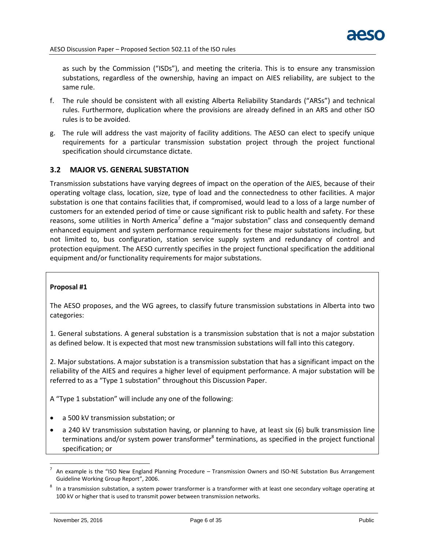as such by the Commission ("ISDs"), and meeting the criteria. This is to ensure any transmission substations, regardless of the ownership, having an impact on AIES reliability, are subject to the same rule.

- f. The rule should be consistent with all existing Alberta Reliability Standards ("ARSs") and technical rules. Furthermore, duplication where the provisions are already defined in an ARS and other ISO rules is to be avoided.
- g. The rule will address the vast majority of facility additions. The AESO can elect to specify unique requirements for a particular transmission substation project through the project functional specification should circumstance dictate.

# <span id="page-7-0"></span>**3.2 MAJOR VS. GENERAL SUBSTATION**

Transmission substations have varying degrees of impact on the operation of the AIES, because of their operating voltage class, location, size, type of load and the connectedness to other facilities. A major substation is one that contains facilities that, if compromised, would lead to a loss of a large number of customers for an extended period of time or cause significant risk to public health and safety. For these reasons, some utilities in North America<sup>7</sup> define a "major substation" class and consequently demand enhanced equipment and system performance requirements for these major substations including, but not limited to, bus configuration, station service supply system and redundancy of control and protection equipment. The AESO currently specifies in the project functional specification the additional equipment and/or functionality requirements for major substations.

#### **Proposal #1**

The AESO proposes, and the WG agrees, to classify future transmission substations in Alberta into two categories:

1. General substations. A general substation is a transmission substation that is not a major substation as defined below. It is expected that most new transmission substations will fall into this category.

2. Major substations. A major substation is a transmission substation that has a significant impact on the reliability of the AIES and requires a higher level of equipment performance. A major substation will be referred to as a "Type 1 substation" throughout this Discussion Paper.

A "Type 1 substation" will include any one of the following:

- a 500 kV transmission substation; or
- a 240 kV transmission substation having, or planning to have, at least six (6) bulk transmission line terminations and/or system power transformer<sup>8</sup> terminations, as specified in the project functional specification; or

<sup>7</sup> An example is the "ISO New England Planning Procedure – Transmission Owners and ISO-NE Substation Bus Arrangement Guideline Working Group Report", 2006.

 $^8$  In a transmission substation, a system power transformer is a transformer with at least one secondary voltage operating at 100 kV or higher that is used to transmit power between transmission networks.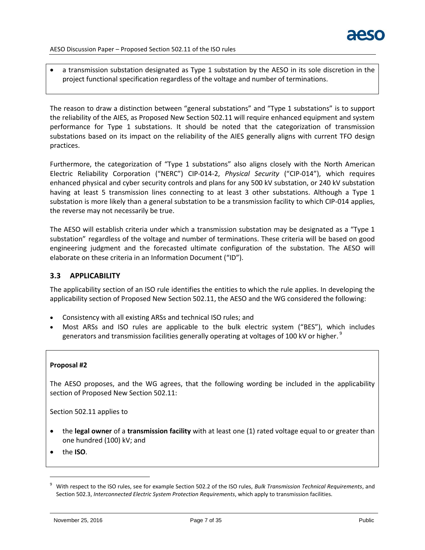

 a transmission substation designated as Type 1 substation by the AESO in its sole discretion in the project functional specification regardless of the voltage and number of terminations.

The reason to draw a distinction between "general substations" and "Type 1 substations" is to support the reliability of the AIES, as Proposed New Section 502.11 will require enhanced equipment and system performance for Type 1 substations. It should be noted that the categorization of transmission substations based on its impact on the reliability of the AIES generally aligns with current TFO design practices.

Furthermore, the categorization of "Type 1 substations" also aligns closely with the North American Electric Reliability Corporation ("NERC") CIP-014-2, *Physical Security* ("CIP-014"), which requires enhanced physical and cyber security controls and plans for any 500 kV substation, or 240 kV substation having at least 5 transmission lines connecting to at least 3 other substations. Although a Type 1 substation is more likely than a general substation to be a transmission facility to which CIP-014 applies, the reverse may not necessarily be true.

The AESO will establish criteria under which a transmission substation may be designated as a "Type 1 substation" regardless of the voltage and number of terminations. These criteria will be based on good engineering judgment and the forecasted ultimate configuration of the substation. The AESO will elaborate on these criteria in an Information Document ("ID").

# <span id="page-8-0"></span>**3.3 APPLICABILITY**

The applicability section of an ISO rule identifies the entities to which the rule applies. In developing the applicability section of Proposed New Section 502.11, the AESO and the WG considered the following:

- Consistency with all existing ARSs and technical ISO rules; and
- Most ARSs and ISO rules are applicable to the bulk electric system ("BES"), which includes generators and transmission facilities generally operating at voltages of 100 kV or higher.  $^9$

#### **Proposal #2**

The AESO proposes, and the WG agrees, that the following wording be included in the applicability section of Proposed New Section 502.11:

Section 502.11 applies to

- the **legal owner** of a **transmission facility** with at least one (1) rated voltage equal to or greater than one hundred (100) kV; and
- the **ISO**.

<sup>9</sup> With respect to the ISO rules, see for example Section 502.2 of the ISO rules, *Bulk Transmission Technical Requirements*, and Section 502.3, *Interconnected Electric System Protection Requirements*, which apply to transmission facilities.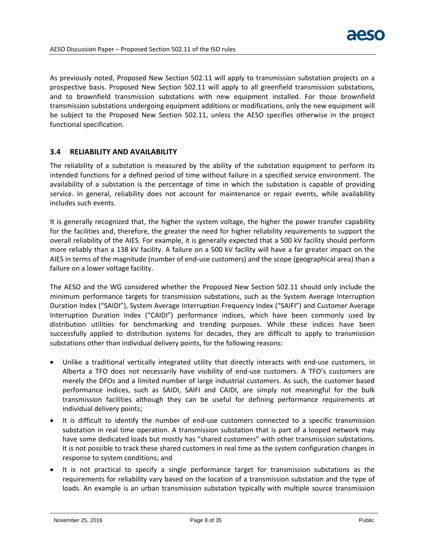As previously noted, Proposed New Section 502.11 will apply to transmission substation projects on a prospective basis. Proposed New Section 502.11 will apply to all greenfield transmission substations, and to brownfield transmission substations with new equipment installed. For those brownfield transmission substations undergoing equipment additions or modifications, only the new equipment will be subject to the Proposed New Section 502.11, unless the AESO specifies otherwise in the project functional specification.

# <span id="page-9-0"></span>**3.4 RELIABILITY AND AVAILABILITY**

The reliability of a substation is measured by the ability of the substation equipment to perform its intended functions for a defined period of time without failure in a specified service environment. The availability of a substation is the percentage of time in which the substation is capable of providing service. In general, reliability does not account for maintenance or repair events, while availability includes such events.

It is generally recognized that, the higher the system voltage, the higher the power transfer capability for the facilities and, therefore, the greater the need for higher reliability requirements to support the overall reliability of the AIES. For example, it is generally expected that a 500 kV facility should perform more reliably than a 138 kV facility. A failure on a 500 kV facility will have a far greater impact on the AIES in terms of the magnitude (number of end-use customers) and the scope (geographical area) than a failure on a lower voltage facility.

The AESO and the WG considered whether the Proposed New Section 502.11 should only include the minimum performance targets for transmission substations, such as the System Average Interruption Duration Index ("SAIDI"), System Average Interruption Frequency Index ("SAIFI") and Customer Average Interruption Duration Index ("CAIDI") performance indices, which have been commonly used by distribution utilities for benchmarking and trending purposes. While these indices have been successfully applied to distribution systems for decades, they are difficult to apply to transmission substations other than individual delivery points, for the following reasons:

- Unlike a traditional vertically integrated utility that directly interacts with end-use customers, in Alberta a TFO does not necessarily have visibility of end-use customers. A TFO's customers are merely the DFOs and a limited number of large industrial customers. As such, the customer based performance indices, such as SAIDI, SAIFI and CAIDI, are simply not meaningful for the bulk transmission facilities although they can be useful for defining performance requirements at individual delivery points;
- It is difficult to identify the number of end-use customers connected to a specific transmission substation in real time operation. A transmission substation that is part of a looped network may have some dedicated loads but mostly has "shared customers" with other transmission substations. It is not possible to track these shared customers in real time as the system configuration changes in response to system conditions; and
- It is not practical to specify a single performance target for transmission substations as the requirements for reliability vary based on the location of a transmission substation and the type of loads. An example is an urban transmission substation typically with multiple source transmission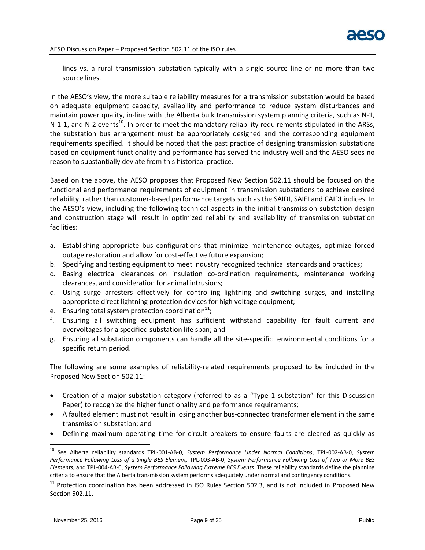lines vs. a rural transmission substation typically with a single source line or no more than two source lines.

In the AESO's view, the more suitable reliability measures for a transmission substation would be based on adequate equipment capacity, availability and performance to reduce system disturbances and maintain power quality, in-line with the Alberta bulk transmission system planning criteria, such as N-1, N-1-1, and N-2 events<sup>10</sup>. In order to meet the mandatory reliability requirements stipulated in the ARSs, the substation bus arrangement must be appropriately designed and the corresponding equipment requirements specified. It should be noted that the past practice of designing transmission substations based on equipment functionality and performance has served the industry well and the AESO sees no reason to substantially deviate from this historical practice.

Based on the above, the AESO proposes that Proposed New Section 502.11 should be focused on the functional and performance requirements of equipment in transmission substations to achieve desired reliability, rather than customer-based performance targets such as the SAIDI, SAIFI and CAIDI indices. In the AESO's view, including the following technical aspects in the initial transmission substation design and construction stage will result in optimized reliability and availability of transmission substation facilities:

- a. Establishing appropriate bus configurations that minimize maintenance outages, optimize forced outage restoration and allow for cost-effective future expansion;
- b. Specifying and testing equipment to meet industry recognized technical standards and practices;
- c. Basing electrical clearances on insulation co-ordination requirements, maintenance working clearances, and consideration for animal intrusions;
- d. Using surge arresters effectively for controlling lightning and switching surges, and installing appropriate direct lightning protection devices for high voltage equipment;
- e. Ensuring total system protection coordination $^{11}$ ;
- f. Ensuring all switching equipment has sufficient withstand capability for fault current and overvoltages for a specified substation life span; and
- g. Ensuring all substation components can handle all the site-specific environmental conditions for a specific return period.

The following are some examples of reliability-related requirements proposed to be included in the Proposed New Section 502.11:

- Creation of a major substation category (referred to as a "Type 1 substation" for this Discussion Paper) to recognize the higher functionality and performance requirements;
- A faulted element must not result in losing another bus-connected transformer element in the same transmission substation; and
- Defining maximum operating time for circuit breakers to ensure faults are cleared as quickly as

 $\overline{a}$ <sup>10</sup> See Alberta reliability standards TPL-001-AB-0, *System Performance Under Normal Conditions*, TPL-002-AB-0, *System Performance Following Loss of a Single BES Element,* TPL-003-AB-0, *System Performance Following Loss of Two or More BES Elements*, and TPL-004-AB-0, *System Performance Following Extreme BES Events*. These reliability standards define the planning criteria to ensure that the Alberta transmission system performs adequately under normal and contingency conditions.

<sup>&</sup>lt;sup>11</sup> Protection coordination has been addressed in ISO Rules Section 502.3, and is not included in Proposed New Section 502.11.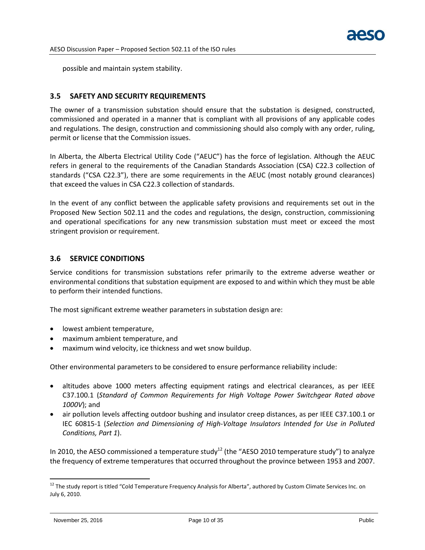possible and maintain system stability.

#### <span id="page-11-0"></span>**3.5 SAFETY AND SECURITY REQUIREMENTS**

The owner of a transmission substation should ensure that the substation is designed, constructed, commissioned and operated in a manner that is compliant with all provisions of any applicable codes and regulations. The design, construction and commissioning should also comply with any order, ruling, permit or license that the Commission issues.

In Alberta, the Alberta Electrical Utility Code ("AEUC") has the force of legislation. Although the AEUC refers in general to the requirements of the Canadian Standards Association (CSA) C22.3 collection of standards ("CSA C22.3"), there are some requirements in the AEUC (most notably ground clearances) that exceed the values in CSA C22.3 collection of standards.

In the event of any conflict between the applicable safety provisions and requirements set out in the Proposed New Section 502.11 and the codes and regulations, the design, construction, commissioning and operational specifications for any new transmission substation must meet or exceed the most stringent provision or requirement.

## <span id="page-11-1"></span>**3.6 SERVICE CONDITIONS**

Service conditions for transmission substations refer primarily to the extreme adverse weather or environmental conditions that substation equipment are exposed to and within which they must be able to perform their intended functions.

The most significant extreme weather parameters in substation design are:

- lowest ambient temperature,
- maximum ambient temperature, and
- maximum wind velocity, ice thickness and wet snow buildup.

Other environmental parameters to be considered to ensure performance reliability include:

- altitudes above 1000 meters affecting equipment ratings and electrical clearances, as per IEEE C37.100.1 (*Standard of Common Requirements for High Voltage Power Switchgear Rated above 1000V*); and
- air pollution levels affecting outdoor bushing and insulator creep distances, as per IEEE C37.100.1 or IEC 60815-1 (*Selection and Dimensioning of High-Voltage Insulators Intended for Use in Polluted Conditions, Part 1*).

In 2010, the AESO commissioned a temperature study<sup>12</sup> (the "AESO 2010 temperature study") to analyze the frequency of extreme temperatures that occurred throughout the province between 1953 and 2007.

<sup>&</sup>lt;sup>12</sup> The study report is titled "Cold Temperature Frequency Analysis for Alberta", authored by Custom Climate Services Inc. on July 6, 2010.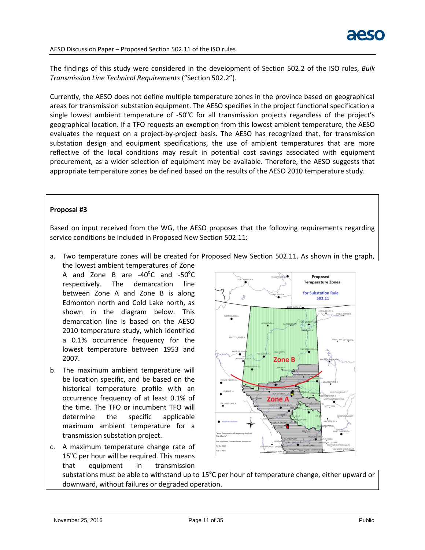The findings of this study were considered in the development of Section 502.2 of the ISO rules, *Bulk Transmission Line Technical Requirements* ("Section 502.2").

Currently, the AESO does not define multiple temperature zones in the province based on geographical areas for transmission substation equipment. The AESO specifies in the project functional specification a single lowest ambient temperature of -50 $^{\circ}$ C for all transmission projects regardless of the project's geographical location. If a TFO requests an exemption from this lowest ambient temperature, the AESO evaluates the request on a project-by-project basis. The AESO has recognized that, for transmission substation design and equipment specifications, the use of ambient temperatures that are more reflective of the local conditions may result in potential cost savings associated with equipment procurement, as a wider selection of equipment may be available. Therefore, the AESO suggests that appropriate temperature zones be defined based on the results of the AESO 2010 temperature study.

#### **Proposal #3**

Based on input received from the WG, the AESO proposes that the following requirements regarding service conditions be included in Proposed New Section 502.11:

a. Two temperature zones will be created for Proposed New Section 502.11. As shown in the graph, the lowest ambient temperatures of Zone

A and Zone B are  $-40^{\circ}$ C and  $-50^{\circ}$ C respectively. The demarcation line between Zone A and Zone B is along Edmonton north and Cold Lake north, as shown in the diagram below. This demarcation line is based on the AESO 2010 temperature study, which identified a 0.1% occurrence frequency for the lowest temperature between 1953 and 2007.

- b. The maximum ambient temperature will be location specific, and be based on the historical temperature profile with an occurrence frequency of at least 0.1% of the time. The TFO or incumbent TFO will determine the specific applicable maximum ambient temperature for a transmission substation project.
- c. A maximum temperature change rate of  $15^{\circ}$ C per hour will be required. This means that equipment in transmission



substations must be able to withstand up to 15 $^{\circ}$ C per hour of temperature change, either upward or downward, without failures or degraded operation.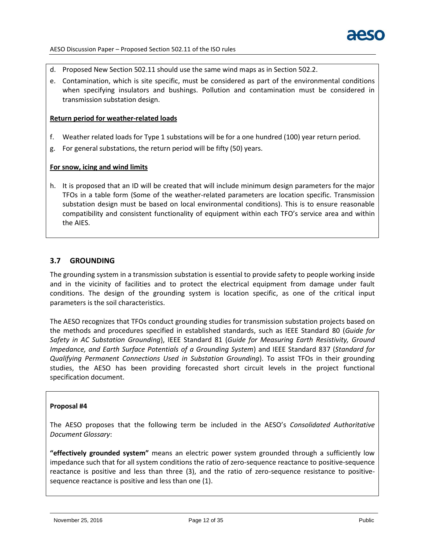

- d. Proposed New Section 502.11 should use the same wind maps as in Section 502.2.
- e. Contamination, which is site specific, must be considered as part of the environmental conditions when specifying insulators and bushings. Pollution and contamination must be considered in transmission substation design.

#### **Return period for weather-related loads**

- f. Weather related loads for Type 1 substations will be for a one hundred (100) year return period.
- g. For general substations, the return period will be fifty (50) years.

## **For snow, icing and wind limits**

h. It is proposed that an ID will be created that will include minimum design parameters for the major TFOs in a table form (Some of the weather-related parameters are location specific. Transmission substation design must be based on local environmental conditions). This is to ensure reasonable compatibility and consistent functionality of equipment within each TFO's service area and within the AIES.

# <span id="page-13-0"></span>**3.7 GROUNDING**

The grounding system in a transmission substation is essential to provide safety to people working inside and in the vicinity of facilities and to protect the electrical equipment from damage under fault conditions. The design of the grounding system is location specific, as one of the critical input parameters is the soil characteristics.

The AESO recognizes that TFOs conduct grounding studies for transmission substation projects based on the methods and procedures specified in established standards, such as IEEE Standard 80 (*Guide for Safety in AC Substation Grounding*), IEEE Standard 81 (*Guide for Measuring Earth Resistivity, Ground Impedance, and Earth Surface Potentials of a Grounding System*) and IEEE Standard 837 (*Standard for Qualifying Permanent Connections Used in Substation Grounding*). To assist TFOs in their grounding studies, the AESO has been providing forecasted short circuit levels in the project functional specification document.

#### **Proposal #4**

The AESO proposes that the following term be included in the AESO's *Consolidated Authoritative Document Glossary*:

**"effectively grounded system"** means an electric power system grounded through a sufficiently low impedance such that for all system conditions the ratio of zero-sequence reactance to positive-sequence reactance is positive and less than three (3), and the ratio of zero-sequence resistance to positivesequence reactance is positive and less than one (1).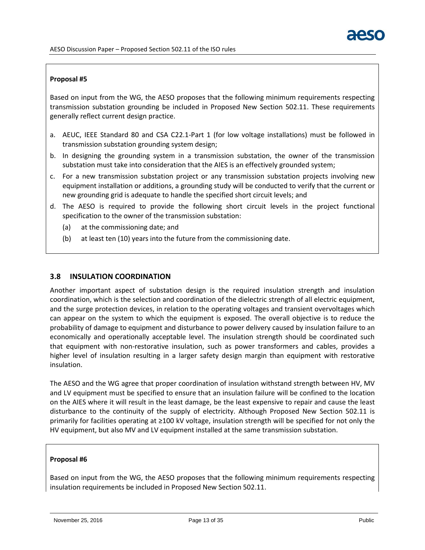## **Proposal #5**

Based on input from the WG, the AESO proposes that the following minimum requirements respecting transmission substation grounding be included in Proposed New Section 502.11. These requirements generally reflect current design practice.

- a. AEUC, IEEE Standard 80 and CSA C22.1-Part 1 (for low voltage installations) must be followed in transmission substation grounding system design;
- b. In designing the grounding system in a transmission substation, the owner of the transmission substation must take into consideration that the AIES is an effectively grounded system;
- c. For a new transmission substation project or any transmission substation projects involving new equipment installation or additions, a grounding study will be conducted to verify that the current or new grounding grid is adequate to handle the specified short circuit levels; and
- d. The AESO is required to provide the following short circuit levels in the project functional specification to the owner of the transmission substation:
	- (a) at the commissioning date; and
	- (b) at least ten (10) years into the future from the commissioning date.

# <span id="page-14-0"></span>**3.8 INSULATION COORDINATION**

Another important aspect of substation design is the required insulation strength and insulation coordination, which is the selection and coordination of the dielectric strength of all electric equipment, and the surge protection devices, in relation to the operating voltages and transient overvoltages which can appear on the system to which the equipment is exposed. The overall objective is to reduce the probability of damage to equipment and disturbance to power delivery caused by insulation failure to an economically and operationally acceptable level. The insulation strength should be coordinated such that equipment with non-restorative insulation, such as power transformers and cables, provides a higher level of insulation resulting in a larger safety design margin than equipment with restorative insulation.

The AESO and the WG agree that proper coordination of insulation withstand strength between HV, MV and LV equipment must be specified to ensure that an insulation failure will be confined to the location on the AIES where it will result in the least damage, be the least expensive to repair and cause the least disturbance to the continuity of the supply of electricity. Although Proposed New Section 502.11 is primarily for facilities operating at ≥100 kV voltage, insulation strength will be specified for not only the HV equipment, but also MV and LV equipment installed at the same transmission substation.

#### **Proposal #6**

Based on input from the WG, the AESO proposes that the following minimum requirements respecting insulation requirements be included in Proposed New Section 502.11.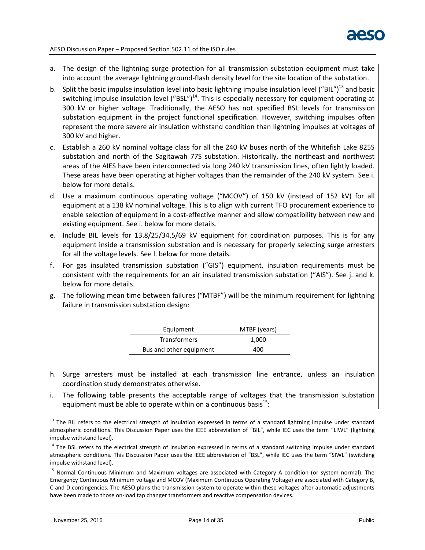- a. The design of the lightning surge protection for all transmission substation equipment must take into account the average lightning ground-flash density level for the site location of the substation.
- b. Split the basic impulse insulation level into basic lightning impulse insulation level ("BIL")<sup>13</sup> and basic switching impulse insulation level ("BSL")<sup>14</sup>. This is especially necessary for equipment operating at 300 kV or higher voltage. Traditionally, the AESO has not specified BSL levels for transmission substation equipment in the project functional specification. However, switching impulses often represent the more severe air insulation withstand condition than lightning impulses at voltages of 300 kV and higher.
- c. Establish a 260 kV nominal voltage class for all the 240 kV buses north of the Whitefish Lake 825S substation and north of the Sagitawah 77S substation. Historically, the northeast and northwest areas of the AIES have been interconnected via long 240 kV transmission lines, often lightly loaded. These areas have been operating at higher voltages than the remainder of the 240 kV system. See i. below for more details.
- d. Use a maximum continuous operating voltage ("MCOV") of 150 kV (instead of 152 kV) for all equipment at a 138 kV nominal voltage. This is to align with current TFO procurement experience to enable selection of equipment in a cost-effective manner and allow compatibility between new and existing equipment. See i. below for more details.
- e. Include BIL levels for 13.8/25/34.5/69 kV equipment for coordination purposes. This is for any equipment inside a transmission substation and is necessary for properly selecting surge arresters for all the voltage levels. See l. below for more details.
- f. For gas insulated transmission substation ("GIS") equipment, insulation requirements must be consistent with the requirements for an air insulated transmission substation ("AIS"). See j. and k. below for more details.
- g. The following mean time between failures ("MTBF") will be the minimum requirement for lightning failure in transmission substation design:

| Equipment               | MTBF (years) |
|-------------------------|--------------|
| <b>Transformers</b>     | 1,000        |
| Bus and other equipment | 400          |

- h. Surge arresters must be installed at each transmission line entrance, unless an insulation coordination study demonstrates otherwise.
- i. The following table presents the acceptable range of voltages that the transmission substation equipment must be able to operate within on a continuous basis $^{15}$ :

<sup>&</sup>lt;sup>13</sup> The BIL refers to the electrical strength of insulation expressed in terms of a standard lightning impulse under standard atmospheric conditions. This Discussion Paper uses the IEEE abbreviation of "BIL", while IEC uses the term "LIWL" (lightning impulse withstand level).

<sup>&</sup>lt;sup>14</sup> The BSL refers to the electrical strength of insulation expressed in terms of a standard switching impulse under standard atmospheric conditions. This Discussion Paper uses the IEEE abbreviation of "BSL", while IEC uses the term "SIWL" (switching impulse withstand level).

<sup>&</sup>lt;sup>15</sup> Normal Continuous Minimum and Maximum voltages are associated with Category A condition (or system normal). The Emergency Continuous Minimum voltage and MCOV (Maximum Continuous Operating Voltage) are associated with Category B, C and D contingencies. The AESO plans the transmission system to operate within these voltages after automatic adjustments have been made to those on-load tap changer transformers and reactive compensation devices.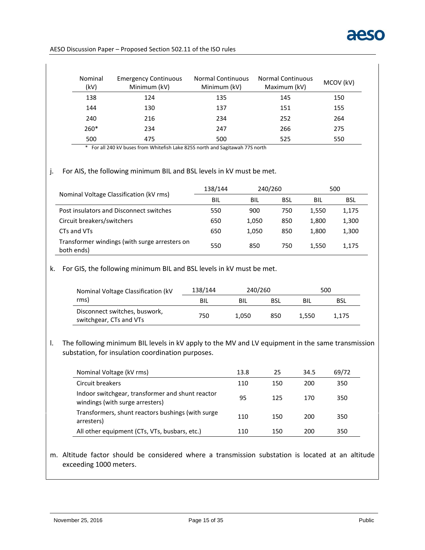

| Nominal<br>(kV) | <b>Emergency Continuous</b><br>Minimum (kV) | <b>Normal Continuous</b><br>Minimum (kV) | <b>Normal Continuous</b><br>Maximum (kV) | MCOV (kV) |
|-----------------|---------------------------------------------|------------------------------------------|------------------------------------------|-----------|
| 138             | 124                                         | 135                                      | 145                                      | 150       |
| 144             | 130                                         | 137                                      | 151                                      | 155       |
| 240             | 216                                         | 234                                      | 252                                      | 264       |
| $260*$          | 234                                         | 247                                      | 266                                      | 275       |
| 500             | 475                                         | 500                                      | 525                                      | 550       |

\* For all 240 kV buses from Whitefish Lake 825S north and Sagitawah 77S north

#### j. For AIS, the following minimum BIL and BSL levels in kV must be met.

|                                                             | 138/144 | 240/260 |     |       | 500        |  |
|-------------------------------------------------------------|---------|---------|-----|-------|------------|--|
| Nominal Voltage Classification (kV rms)                     | BIL     | BIL     | BSL | BIL   | <b>BSL</b> |  |
| Post insulators and Disconnect switches                     | 550     | 900     | 750 | 1.550 | 1,175      |  |
| Circuit breakers/switchers                                  | 650     | 1,050   | 850 | 1,800 | 1,300      |  |
| CTs and VTs                                                 | 650     | 1,050   | 850 | 1.800 | 1,300      |  |
| Transformer windings (with surge arresters on<br>both ends) | 550     | 850     | 750 | 1.550 | 1,175      |  |

## k. For GIS, the following minimum BIL and BSL levels in kV must be met.

| Nominal Voltage Classification (kV)                      | 138/144 | 240/260 |     |       | 500   |
|----------------------------------------------------------|---------|---------|-----|-------|-------|
| rms)                                                     | BIL     | BIL     | BSL | BIL   | BSL   |
| Disconnect switches, buswork,<br>switchgear, CTs and VTs | 750     | 1.050   | 850 | 1.550 | 1.175 |

# l. The following minimum BIL levels in kV apply to the MV and LV equipment in the same transmission substation, for insulation coordination purposes.

| Nominal Voltage (kV rms)                                                            | 13.8 | 25  | 34.5 | 69/72 |
|-------------------------------------------------------------------------------------|------|-----|------|-------|
| Circuit breakers                                                                    | 110  | 150 | 200  | 350   |
| Indoor switchgear, transformer and shunt reactor<br>windings (with surge arresters) | 95   | 125 | 170  | 350   |
| Transformers, shunt reactors bushings (with surge<br>arresters)                     | 110  | 150 | 200  | 350   |
| All other equipment (CTs, VTs, busbars, etc.)                                       | 110  | 150 | 200  | 350   |

# m. Altitude factor should be considered where a transmission substation is located at an altitude exceeding 1000 meters.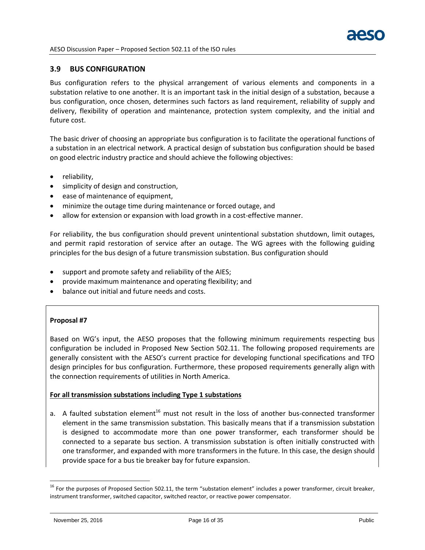

## <span id="page-17-0"></span>**3.9 BUS CONFIGURATION**

Bus configuration refers to the physical arrangement of various elements and components in a substation relative to one another. It is an important task in the initial design of a substation, because a bus configuration, once chosen, determines such factors as land requirement, reliability of supply and delivery, flexibility of operation and maintenance, protection system complexity, and the initial and future cost.

The basic driver of choosing an appropriate bus configuration is to facilitate the operational functions of a substation in an electrical network. A practical design of substation bus configuration should be based on good electric industry practice and should achieve the following objectives:

- reliability,
- simplicity of design and construction,
- ease of maintenance of equipment,
- minimize the outage time during maintenance or forced outage, and
- allow for extension or expansion with load growth in a cost-effective manner.

For reliability, the bus configuration should prevent unintentional substation shutdown, limit outages, and permit rapid restoration of service after an outage. The WG agrees with the following guiding principles for the bus design of a future transmission substation. Bus configuration should

- support and promote safety and reliability of the AIES;
- provide maximum maintenance and operating flexibility; and
- balance out initial and future needs and costs.

#### **Proposal #7**

Based on WG's input, the AESO proposes that the following minimum requirements respecting bus configuration be included in Proposed New Section 502.11. The following proposed requirements are generally consistent with the AESO's current practice for developing functional specifications and TFO design principles for bus configuration. Furthermore, these proposed requirements generally align with the connection requirements of utilities in North America.

#### **For all transmission substations including Type 1 substations**

a. A faulted substation element<sup>16</sup> must not result in the loss of another bus-connected transformer element in the same transmission substation. This basically means that if a transmission substation is designed to accommodate more than one power transformer, each transformer should be connected to a separate bus section. A transmission substation is often initially constructed with one transformer, and expanded with more transformers in the future. In this case, the design should provide space for a bus tie breaker bay for future expansion.

<sup>&</sup>lt;sup>16</sup> For the purposes of Proposed Section 502.11, the term "substation element" includes a power transformer, circuit breaker, instrument transformer, switched capacitor, switched reactor, or reactive power compensator.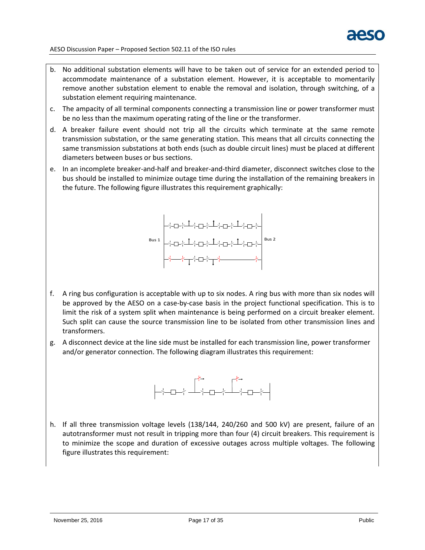

- b. No additional substation elements will have to be taken out of service for an extended period to accommodate maintenance of a substation element. However, it is acceptable to momentarily remove another substation element to enable the removal and isolation, through switching, of a substation element requiring maintenance.
- c. The ampacity of all terminal components connecting a transmission line or power transformer must be no less than the maximum operating rating of the line or the transformer.
- d. A breaker failure event should not trip all the circuits which terminate at the same remote transmission substation, or the same generating station. This means that all circuits connecting the same transmission substations at both ends (such as double circuit lines) must be placed at different diameters between buses or bus sections.
- e. In an incomplete breaker-and-half and breaker-and-third diameter, disconnect switches close to the bus should be installed to minimize outage time during the installation of the remaining breakers in the future. The following figure illustrates this requirement graphically:



- f. A ring bus configuration is acceptable with up to six nodes. A ring bus with more than six nodes will be approved by the AESO on a case-by-case basis in the project functional specification. This is to limit the risk of a system split when maintenance is being performed on a circuit breaker element. Such split can cause the source transmission line to be isolated from other transmission lines and transformers.
- g. A disconnect device at the line side must be installed for each transmission line, power transformer and/or generator connection. The following diagram illustrates this requirement:



h. If all three transmission voltage levels (138/144, 240/260 and 500 kV) are present, failure of an autotransformer must not result in tripping more than four (4) circuit breakers. This requirement is to minimize the scope and duration of excessive outages across multiple voltages. The following figure illustrates this requirement: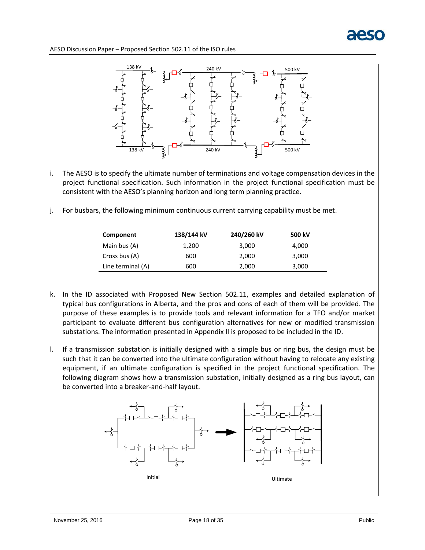

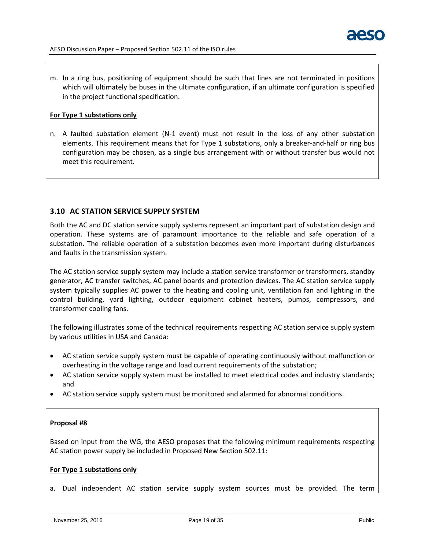

m. In a ring bus, positioning of equipment should be such that lines are not terminated in positions which will ultimately be buses in the ultimate configuration, if an ultimate configuration is specified in the project functional specification.

#### **For Type 1 substations only**

n. A faulted substation element (N-1 event) must not result in the loss of any other substation elements. This requirement means that for Type 1 substations, only a breaker-and-half or ring bus configuration may be chosen, as a single bus arrangement with or without transfer bus would not meet this requirement.

## <span id="page-20-0"></span>**3.10 AC STATION SERVICE SUPPLY SYSTEM**

Both the AC and DC station service supply systems represent an important part of substation design and operation. These systems are of paramount importance to the reliable and safe operation of a substation. The reliable operation of a substation becomes even more important during disturbances and faults in the transmission system.

The AC station service supply system may include a station service transformer or transformers, standby generator, AC transfer switches, AC panel boards and protection devices. The AC station service supply system typically supplies AC power to the heating and cooling unit, ventilation fan and lighting in the control building, yard lighting, outdoor equipment cabinet heaters, pumps, compressors, and transformer cooling fans.

The following illustrates some of the technical requirements respecting AC station service supply system by various utilities in USA and Canada:

- AC station service supply system must be capable of operating continuously without malfunction or overheating in the voltage range and load current requirements of the substation;
- AC station service supply system must be installed to meet electrical codes and industry standards; and
- AC station service supply system must be monitored and alarmed for abnormal conditions.

#### **Proposal #8**

Based on input from the WG, the AESO proposes that the following minimum requirements respecting AC station power supply be included in Proposed New Section 502.11:

#### **For Type 1 substations only**

a. Dual independent AC station service supply system sources must be provided. The term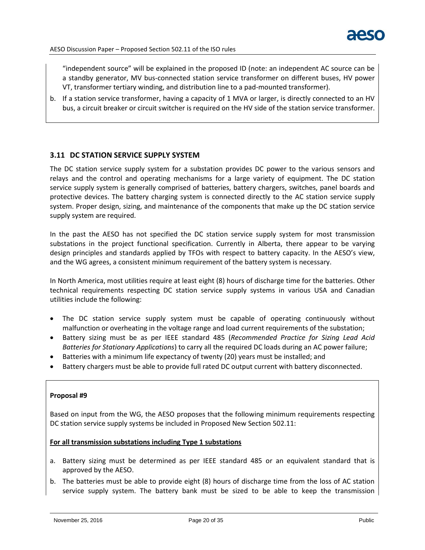

"independent source" will be explained in the proposed ID (note: an independent AC source can be a standby generator, MV bus-connected station service transformer on different buses, HV power VT, transformer tertiary winding, and distribution line to a pad-mounted transformer).

b. If a station service transformer, having a capacity of 1 MVA or larger, is directly connected to an HV bus, a circuit breaker or circuit switcher is required on the HV side of the station service transformer.

## <span id="page-21-0"></span>**3.11 DC STATION SERVICE SUPPLY SYSTEM**

The DC station service supply system for a substation provides DC power to the various sensors and relays and the control and operating mechanisms for a large variety of equipment. The DC station service supply system is generally comprised of batteries, battery chargers, switches, panel boards and protective devices. The battery charging system is connected directly to the AC station service supply system. Proper design, sizing, and maintenance of the components that make up the DC station service supply system are required.

In the past the AESO has not specified the DC station service supply system for most transmission substations in the project functional specification. Currently in Alberta, there appear to be varying design principles and standards applied by TFOs with respect to battery capacity. In the AESO's view, and the WG agrees, a consistent minimum requirement of the battery system is necessary.

In North America, most utilities require at least eight (8) hours of discharge time for the batteries. Other technical requirements respecting DC station service supply systems in various USA and Canadian utilities include the following:

- The DC station service supply system must be capable of operating continuously without malfunction or overheating in the voltage range and load current requirements of the substation;
- Battery sizing must be as per IEEE standard 485 (*Recommended Practice for Sizing Lead Acid Batteries for Stationary Applications*) to carry all the required DC loads during an AC power failure;
- Batteries with a minimum life expectancy of twenty (20) years must be installed; and
- Battery chargers must be able to provide full rated DC output current with battery disconnected.

#### **Proposal #9**

Based on input from the WG, the AESO proposes that the following minimum requirements respecting DC station service supply systems be included in Proposed New Section 502.11:

#### **For all transmission substations including Type 1 substations**

- a. Battery sizing must be determined as per IEEE standard 485 or an equivalent standard that is approved by the AESO.
- b. The batteries must be able to provide eight (8) hours of discharge time from the loss of AC station service supply system. The battery bank must be sized to be able to keep the transmission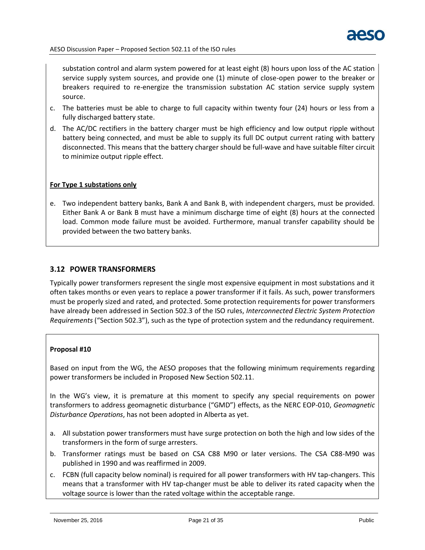

substation control and alarm system powered for at least eight (8) hours upon loss of the AC station service supply system sources, and provide one (1) minute of close-open power to the breaker or breakers required to re-energize the transmission substation AC station service supply system source.

- c. The batteries must be able to charge to full capacity within twenty four (24) hours or less from a fully discharged battery state.
- d. The AC/DC rectifiers in the battery charger must be high efficiency and low output ripple without battery being connected, and must be able to supply its full DC output current rating with battery disconnected. This means that the battery charger should be full-wave and have suitable filter circuit to minimize output ripple effect.

## **For Type 1 substations only**

e. Two independent battery banks, Bank A and Bank B, with independent chargers, must be provided. Either Bank A or Bank B must have a minimum discharge time of eight (8) hours at the connected load. Common mode failure must be avoided. Furthermore, manual transfer capability should be provided between the two battery banks.

# <span id="page-22-0"></span>**3.12 POWER TRANSFORMERS**

Typically power transformers represent the single most expensive equipment in most substations and it often takes months or even years to replace a power transformer if it fails. As such, power transformers must be properly sized and rated, and protected. Some protection requirements for power transformers have already been addressed in Section 502.3 of the ISO rules, *Interconnected Electric System Protection Requirements* ("Section 502.3"), such as the type of protection system and the redundancy requirement.

#### **Proposal #10**

Based on input from the WG, the AESO proposes that the following minimum requirements regarding power transformers be included in Proposed New Section 502.11.

In the WG's view, it is premature at this moment to specify any special requirements on power transformers to address geomagnetic disturbance ("GMD") effects, as the NERC EOP-010, *Geomagnetic Disturbance Operations*, has not been adopted in Alberta as yet.

- a. All substation power transformers must have surge protection on both the high and low sides of the transformers in the form of surge arresters.
- b. Transformer ratings must be based on CSA C88 M90 or later versions. The CSA C88-M90 was published in 1990 and was reaffirmed in 2009.
- c. FCBN (full capacity below nominal) is required for all power transformers with HV tap-changers. This means that a transformer with HV tap-changer must be able to deliver its rated capacity when the voltage source is lower than the rated voltage within the acceptable range.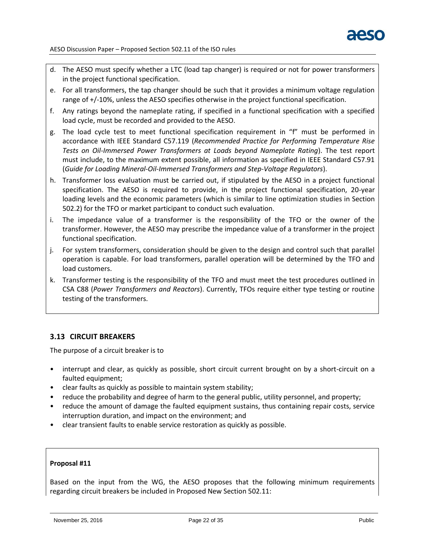- d. The AESO must specify whether a LTC (load tap changer) is required or not for power transformers in the project functional specification.
- e. For all transformers, the tap changer should be such that it provides a minimum voltage regulation range of +/-10%, unless the AESO specifies otherwise in the project functional specification.
- f. Any ratings beyond the nameplate rating, if specified in a functional specification with a specified load cycle, must be recorded and provided to the AESO.
- g. The load cycle test to meet functional specification requirement in "f" must be performed in accordance with IEEE Standard C57.119 (*Recommended Practice for Performing Temperature Rise Tests on Oil-Immersed Power Transformers at Loads beyond Nameplate Rating*). The test report must include, to the maximum extent possible, all information as specified in IEEE Standard C57.91 (*Guide for Loading Mineral-Oil-Immersed Transformers and Step-Voltage Regulators*).
- h. Transformer loss evaluation must be carried out, if stipulated by the AESO in a project functional specification. The AESO is required to provide, in the project functional specification, 20-year loading levels and the economic parameters (which is similar to line optimization studies in Section 502.2) for the TFO or market participant to conduct such evaluation.
- i. The impedance value of a transformer is the responsibility of the TFO or the owner of the transformer. However, the AESO may prescribe the impedance value of a transformer in the project functional specification.
- j. For system transformers, consideration should be given to the design and control such that parallel operation is capable. For load transformers, parallel operation will be determined by the TFO and load customers.
- k. Transformer testing is the responsibility of the TFO and must meet the test procedures outlined in CSA C88 (*Power Transformers and Reactors*). Currently, TFOs require either type testing or routine testing of the transformers.

# <span id="page-23-0"></span>**3.13 CIRCUIT BREAKERS**

The purpose of a circuit breaker is to

- interrupt and clear, as quickly as possible, short circuit current brought on by a short-circuit on a faulted equipment;
- clear faults as quickly as possible to maintain system stability;
- reduce the probability and degree of harm to the general public, utility personnel, and property;
- reduce the amount of damage the faulted equipment sustains, thus containing repair costs, service interruption duration, and impact on the environment; and
- clear transient faults to enable service restoration as quickly as possible.

#### **Proposal #11**

Based on the input from the WG, the AESO proposes that the following minimum requirements regarding circuit breakers be included in Proposed New Section 502.11: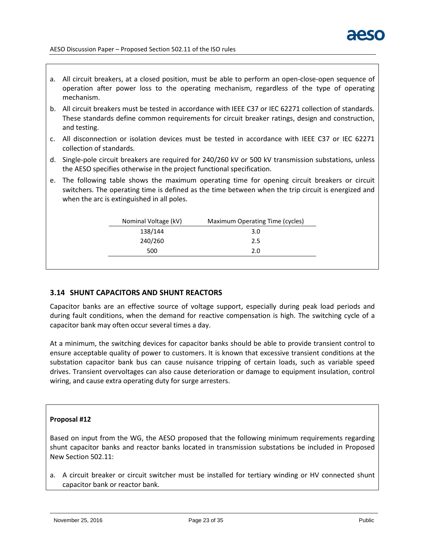

- a. All circuit breakers, at a closed position, must be able to perform an open-close-open sequence of operation after power loss to the operating mechanism, regardless of the type of operating mechanism.
- b. All circuit breakers must be tested in accordance with IEEE C37 or IEC 62271 collection of standards. These standards define common requirements for circuit breaker ratings, design and construction, and testing.
- c. All disconnection or isolation devices must be tested in accordance with IEEE C37 or IEC 62271 collection of standards.
- d. Single-pole circuit breakers are required for 240/260 kV or 500 kV transmission substations, unless the AESO specifies otherwise in the project functional specification.
- e. The following table shows the maximum operating time for opening circuit breakers or circuit switchers. The operating time is defined as the time between when the trip circuit is energized and when the arc is extinguished in all poles.

| Nominal Voltage (kV) | Maximum Operating Time (cycles) |  |  |
|----------------------|---------------------------------|--|--|
| 138/144              | 3.0                             |  |  |
| 240/260              | 2.5                             |  |  |
| 500                  | 2.0                             |  |  |
|                      |                                 |  |  |

# <span id="page-24-0"></span>**3.14 SHUNT CAPACITORS AND SHUNT REACTORS**

Capacitor banks are an effective source of voltage support, especially during peak load periods and during fault conditions, when the demand for reactive compensation is high. The switching cycle of a capacitor bank may often occur several times a day.

At a minimum, the switching devices for capacitor banks should be able to provide transient control to ensure acceptable quality of power to customers. It is known that excessive transient conditions at the substation capacitor bank bus can cause nuisance tripping of certain loads, such as variable speed drives. Transient overvoltages can also cause deterioration or damage to equipment insulation, control wiring, and cause extra operating duty for surge arresters.

#### **Proposal #12**

Based on input from the WG, the AESO proposed that the following minimum requirements regarding shunt capacitor banks and reactor banks located in transmission substations be included in Proposed New Section 502.11:

a. A circuit breaker or circuit switcher must be installed for tertiary winding or HV connected shunt capacitor bank or reactor bank.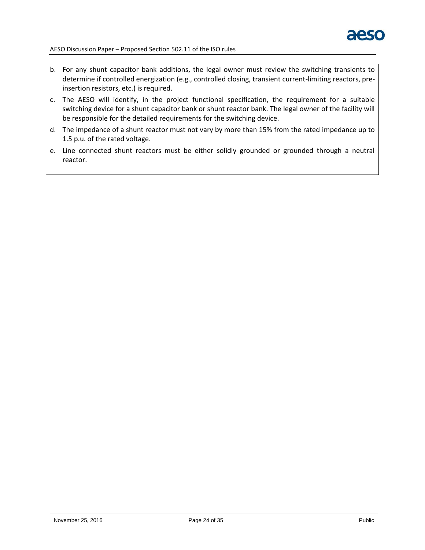

- b. For any shunt capacitor bank additions, the legal owner must review the switching transients to determine if controlled energization (e.g., controlled closing, transient current-limiting reactors, preinsertion resistors, etc.) is required.
- c. The AESO will identify, in the project functional specification, the requirement for a suitable switching device for a shunt capacitor bank or shunt reactor bank. The legal owner of the facility will be responsible for the detailed requirements for the switching device.
- d. The impedance of a shunt reactor must not vary by more than 15% from the rated impedance up to 1.5 p.u. of the rated voltage.
- e. Line connected shunt reactors must be either solidly grounded or grounded through a neutral reactor.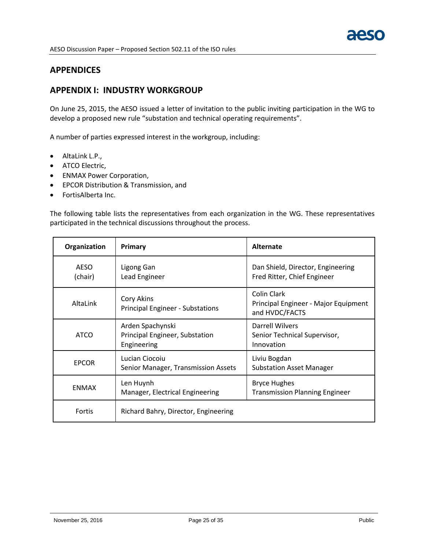

# **APPENDICES**

# <span id="page-26-0"></span>**APPENDIX I: INDUSTRY WORKGROUP**

On June 25, 2015, the AESO issued a letter of invitation to the public inviting participation in the WG to develop a proposed new rule "substation and technical operating requirements".

A number of parties expressed interest in the workgroup, including:

- AltaLink L.P.,
- **•** ATCO Electric,
- ENMAX Power Corporation,
- EPCOR Distribution & Transmission, and
- FortisAlberta Inc.

The following table lists the representatives from each organization in the WG. These representatives participated in the technical discussions throughout the process.

| Organization           | Primary                                                           | Alternate                                                             |
|------------------------|-------------------------------------------------------------------|-----------------------------------------------------------------------|
| <b>AESO</b><br>(chair) | Ligong Gan<br>Lead Engineer                                       | Dan Shield, Director, Engineering<br>Fred Ritter, Chief Engineer      |
| AltaLink               | Cory Akins<br><b>Principal Engineer - Substations</b>             | Colin Clark<br>Principal Engineer - Major Equipment<br>and HVDC/FACTS |
| ATCO                   | Arden Spachynski<br>Principal Engineer, Substation<br>Engineering | Darrell Wilvers<br>Senior Technical Supervisor,<br>Innovation         |
| <b>EPCOR</b>           | Lucian Ciocoiu<br>Senior Manager, Transmission Assets             | Liviu Bogdan<br><b>Substation Asset Manager</b>                       |
| <b>FNMAX</b>           | Len Huynh<br>Manager, Electrical Engineering                      | <b>Bryce Hughes</b><br><b>Transmission Planning Engineer</b>          |
| Fortis                 | Richard Bahry, Director, Engineering                              |                                                                       |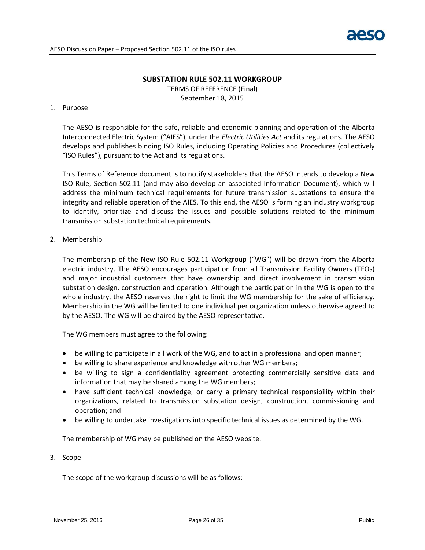

#### **SUBSTATION RULE 502.11 WORKGROUP**

TERMS OF REFERENCE (Final) September 18, 2015

#### 1. Purpose

The AESO is responsible for the safe, reliable and economic planning and operation of the Alberta Interconnected Electric System ("AIES"), under the *Electric Utilities Act* and its regulations. The AESO develops and publishes binding ISO Rules, including Operating Policies and Procedures (collectively "ISO Rules"), pursuant to the Act and its regulations.

This Terms of Reference document is to notify stakeholders that the AESO intends to develop a New ISO Rule, Section 502.11 (and may also develop an associated Information Document), which will address the minimum technical requirements for future transmission substations to ensure the integrity and reliable operation of the AIES. To this end, the AESO is forming an industry workgroup to identify, prioritize and discuss the issues and possible solutions related to the minimum transmission substation technical requirements.

## 2. Membership

The membership of the New ISO Rule 502.11 Workgroup ("WG") will be drawn from the Alberta electric industry. The AESO encourages participation from all Transmission Facility Owners (TFOs) and major industrial customers that have ownership and direct involvement in transmission substation design, construction and operation. Although the participation in the WG is open to the whole industry, the AESO reserves the right to limit the WG membership for the sake of efficiency. Membership in the WG will be limited to one individual per organization unless otherwise agreed to by the AESO. The WG will be chaired by the AESO representative.

The WG members must agree to the following:

- be willing to participate in all work of the WG, and to act in a professional and open manner;
- be willing to share experience and knowledge with other WG members;
- be willing to sign a confidentiality agreement protecting commercially sensitive data and information that may be shared among the WG members;
- have sufficient technical knowledge, or carry a primary technical responsibility within their organizations, related to transmission substation design, construction, commissioning and operation; and
- be willing to undertake investigations into specific technical issues as determined by the WG.

The membership of WG may be published on the AESO website.

#### 3. Scope

The scope of the workgroup discussions will be as follows: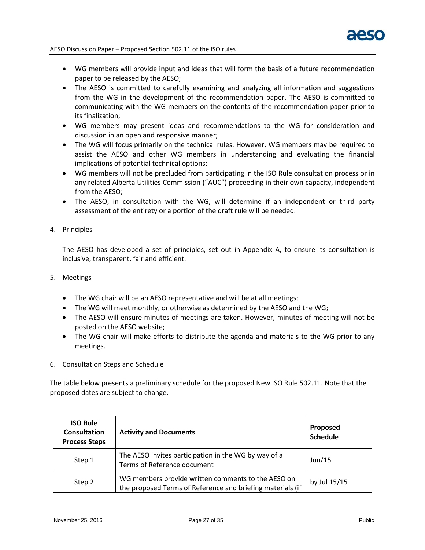- WG members will provide input and ideas that will form the basis of a future recommendation paper to be released by the AESO;
- The AESO is committed to carefully examining and analyzing all information and suggestions from the WG in the development of the recommendation paper. The AESO is committed to communicating with the WG members on the contents of the recommendation paper prior to its finalization;
- WG members may present ideas and recommendations to the WG for consideration and discussion in an open and responsive manner;
- The WG will focus primarily on the technical rules. However, WG members may be required to assist the AESO and other WG members in understanding and evaluating the financial implications of potential technical options;
- WG members will not be precluded from participating in the ISO Rule consultation process or in any related Alberta Utilities Commission ("AUC") proceeding in their own capacity, independent from the AESO;
- The AESO, in consultation with the WG, will determine if an independent or third party assessment of the entirety or a portion of the draft rule will be needed.
- 4. Principles

The AESO has developed a set of principles, set out in Appendix A, to ensure its consultation is inclusive, transparent, fair and efficient.

- 5. Meetings
	- The WG chair will be an AESO representative and will be at all meetings;
	- The WG will meet monthly, or otherwise as determined by the AESO and the WG;
	- The AESO will ensure minutes of meetings are taken. However, minutes of meeting will not be posted on the AESO website;
	- The WG chair will make efforts to distribute the agenda and materials to the WG prior to any meetings.
- 6. Consultation Steps and Schedule

The table below presents a preliminary schedule for the proposed New ISO Rule 502.11. Note that the proposed dates are subject to change.

| <b>ISO Rule</b><br>Consultation<br><b>Process Steps</b> | <b>Activity and Documents</b>                                                                                    | Proposed<br><b>Schedule</b> |
|---------------------------------------------------------|------------------------------------------------------------------------------------------------------------------|-----------------------------|
| Step 1                                                  | The AESO invites participation in the WG by way of a<br>Terms of Reference document                              | Jun/15                      |
| Step 2                                                  | WG members provide written comments to the AESO on<br>the proposed Terms of Reference and briefing materials (if | by Jul 15/15                |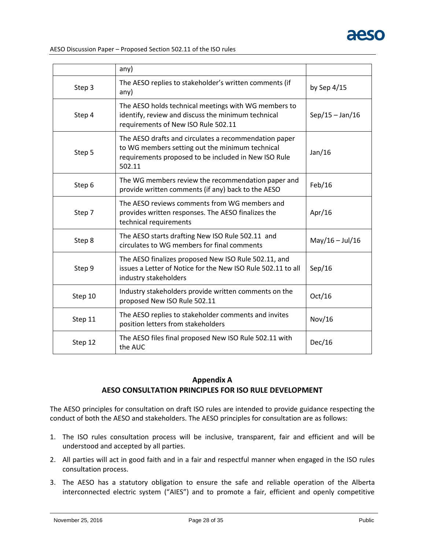

|         | any)                                                                                                                                                                       |                   |
|---------|----------------------------------------------------------------------------------------------------------------------------------------------------------------------------|-------------------|
| Step 3  | The AESO replies to stakeholder's written comments (if<br>any)                                                                                                             | by Sep 4/15       |
| Step 4  | The AESO holds technical meetings with WG members to<br>identify, review and discuss the minimum technical<br>requirements of New ISO Rule 502.11                          | $Sep/15 - Jan/16$ |
| Step 5  | The AESO drafts and circulates a recommendation paper<br>to WG members setting out the minimum technical<br>requirements proposed to be included in New ISO Rule<br>502.11 | Jan/16            |
| Step 6  | The WG members review the recommendation paper and<br>provide written comments (if any) back to the AESO                                                                   | Feb/16            |
| Step 7  | The AESO reviews comments from WG members and<br>provides written responses. The AESO finalizes the<br>technical requirements                                              | Apr/16            |
| Step 8  | The AESO starts drafting New ISO Rule 502.11 and<br>circulates to WG members for final comments                                                                            | $May/16 - Jul/16$ |
| Step 9  | The AESO finalizes proposed New ISO Rule 502.11, and<br>issues a Letter of Notice for the New ISO Rule 502.11 to all<br>industry stakeholders                              | Sep/16            |
| Step 10 | Industry stakeholders provide written comments on the<br>proposed New ISO Rule 502.11                                                                                      | Oct/16            |
| Step 11 | The AESO replies to stakeholder comments and invites<br>position letters from stakeholders                                                                                 | Nov/16            |
| Step 12 | The AESO files final proposed New ISO Rule 502.11 with<br>the AUC                                                                                                          | Dec/16            |

# **Appendix A AESO CONSULTATION PRINCIPLES FOR ISO RULE DEVELOPMENT**

The AESO principles for consultation on draft ISO rules are intended to provide guidance respecting the conduct of both the AESO and stakeholders. The AESO principles for consultation are as follows:

- 1. The ISO rules consultation process will be inclusive, transparent, fair and efficient and will be understood and accepted by all parties.
- 2. All parties will act in good faith and in a fair and respectful manner when engaged in the ISO rules consultation process.
- 3. The AESO has a statutory obligation to ensure the safe and reliable operation of the Alberta interconnected electric system ("AIES") and to promote a fair, efficient and openly competitive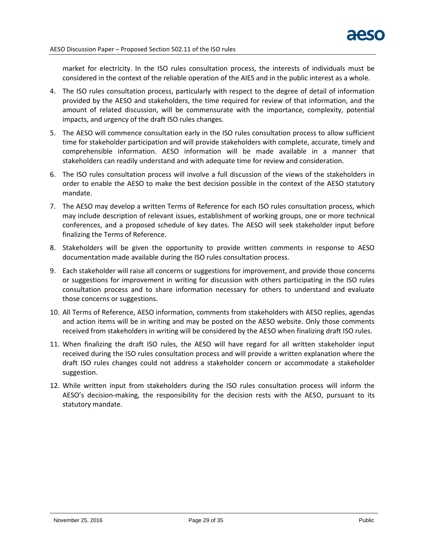market for electricity. In the ISO rules consultation process, the interests of individuals must be considered in the context of the reliable operation of the AIES and in the public interest as a whole.

- 4. The ISO rules consultation process, particularly with respect to the degree of detail of information provided by the AESO and stakeholders, the time required for review of that information, and the amount of related discussion, will be commensurate with the importance, complexity, potential impacts, and urgency of the draft ISO rules changes.
- 5. The AESO will commence consultation early in the ISO rules consultation process to allow sufficient time for stakeholder participation and will provide stakeholders with complete, accurate, timely and comprehensible information. AESO information will be made available in a manner that stakeholders can readily understand and with adequate time for review and consideration.
- 6. The ISO rules consultation process will involve a full discussion of the views of the stakeholders in order to enable the AESO to make the best decision possible in the context of the AESO statutory mandate.
- 7. The AESO may develop a written Terms of Reference for each ISO rules consultation process, which may include description of relevant issues, establishment of working groups, one or more technical conferences, and a proposed schedule of key dates. The AESO will seek stakeholder input before finalizing the Terms of Reference.
- 8. Stakeholders will be given the opportunity to provide written comments in response to AESO documentation made available during the ISO rules consultation process.
- 9. Each stakeholder will raise all concerns or suggestions for improvement, and provide those concerns or suggestions for improvement in writing for discussion with others participating in the ISO rules consultation process and to share information necessary for others to understand and evaluate those concerns or suggestions.
- 10. All Terms of Reference, AESO information, comments from stakeholders with AESO replies, agendas and action items will be in writing and may be posted on the AESO website. Only those comments received from stakeholders in writing will be considered by the AESO when finalizing draft ISO rules.
- 11. When finalizing the draft ISO rules, the AESO will have regard for all written stakeholder input received during the ISO rules consultation process and will provide a written explanation where the draft ISO rules changes could not address a stakeholder concern or accommodate a stakeholder suggestion.
- 12. While written input from stakeholders during the ISO rules consultation process will inform the AESO's decision-making, the responsibility for the decision rests with the AESO, pursuant to its statutory mandate.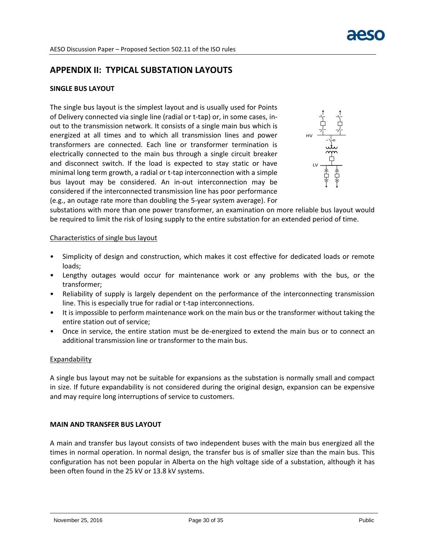# <span id="page-31-0"></span>**APPENDIX II: TYPICAL SUBSTATION LAYOUTS**

## **SINGLE BUS LAYOUT**

The single bus layout is the simplest layout and is usually used for Points of Delivery connected via single line (radial or t-tap) or, in some cases, inout to the transmission network. It consists of a single main bus which is energized at all times and to which all transmission lines and power transformers are connected. Each line or transformer termination is electrically connected to the main bus through a single circuit breaker and disconnect switch. If the load is expected to stay static or have minimal long term growth, a radial or t-tap interconnection with a simple bus layout may be considered. An in-out interconnection may be considered if the interconnected transmission line has poor performance (e.g., an outage rate more than doubling the 5-year system average). For



substations with more than one power transformer, an examination on more reliable bus layout would be required to limit the risk of losing supply to the entire substation for an extended period of time.

#### Characteristics of single bus layout

- Simplicity of design and construction, which makes it cost effective for dedicated loads or remote loads;
- Lengthy outages would occur for maintenance work or any problems with the bus, or the transformer;
- Reliability of supply is largely dependent on the performance of the interconnecting transmission line. This is especially true for radial or t-tap interconnections.
- It is impossible to perform maintenance work on the main bus or the transformer without taking the entire station out of service;
- Once in service, the entire station must be de-energized to extend the main bus or to connect an additional transmission line or transformer to the main bus.

#### Expandability

A single bus layout may not be suitable for expansions as the substation is normally small and compact in size. If future expandability is not considered during the original design, expansion can be expensive and may require long interruptions of service to customers.

#### **MAIN AND TRANSFER BUS LAYOUT**

A main and transfer bus layout consists of two independent buses with the main bus energized all the times in normal operation. In normal design, the transfer bus is of smaller size than the main bus. This configuration has not been popular in Alberta on the high voltage side of a substation, although it has been often found in the 25 kV or 13.8 kV systems.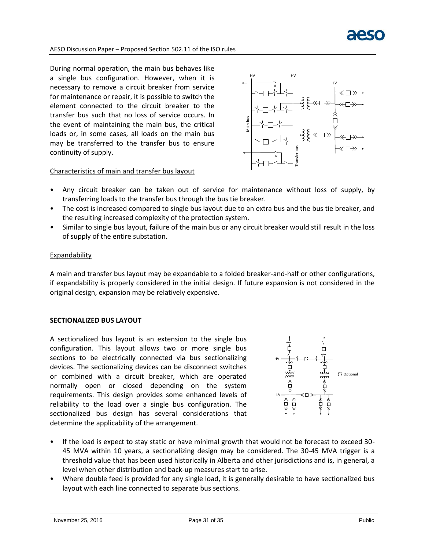

During normal operation, the main bus behaves like a single bus configuration. However, when it is necessary to remove a circuit breaker from service for maintenance or repair, it is possible to switch the element connected to the circuit breaker to the transfer bus such that no loss of service occurs. In the event of maintaining the main bus, the critical loads or, in some cases, all loads on the main bus may be transferred to the transfer bus to ensure continuity of supply.



## Characteristics of main and transfer bus layout

- Any circuit breaker can be taken out of service for maintenance without loss of supply, by transferring loads to the transfer bus through the bus tie breaker.
- The cost is increased compared to single bus layout due to an extra bus and the bus tie breaker, and the resulting increased complexity of the protection system.
- Similar to single bus layout, failure of the main bus or any circuit breaker would still result in the loss of supply of the entire substation.

#### Expandability

A main and transfer bus layout may be expandable to a folded breaker-and-half or other configurations, if expandability is properly considered in the initial design. If future expansion is not considered in the original design, expansion may be relatively expensive.

#### **SECTIONALIZED BUS LAYOUT**

A sectionalized bus layout is an extension to the single bus configuration. This layout allows two or more single bus sections to be electrically connected via bus sectionalizing devices. The sectionalizing devices can be disconnect switches or combined with a circuit breaker, which are operated normally open or closed depending on the system requirements. This design provides some enhanced levels of reliability to the load over a single bus configuration. The sectionalized bus design has several considerations that determine the applicability of the arrangement.



- If the load is expect to stay static or have minimal growth that would not be forecast to exceed 30- 45 MVA within 10 years, a sectionalizing design may be considered. The 30-45 MVA trigger is a threshold value that has been used historically in Alberta and other jurisdictions and is, in general, a level when other distribution and back-up measures start to arise.
- Where double feed is provided for any single load, it is generally desirable to have sectionalized bus layout with each line connected to separate bus sections.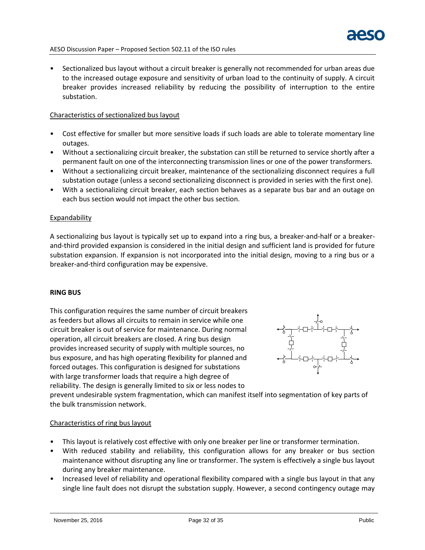

• Sectionalized bus layout without a circuit breaker is generally not recommended for urban areas due to the increased outage exposure and sensitivity of urban load to the continuity of supply. A circuit breaker provides increased reliability by reducing the possibility of interruption to the entire substation.

#### Characteristics of sectionalized bus layout

- Cost effective for smaller but more sensitive loads if such loads are able to tolerate momentary line outages.
- Without a sectionalizing circuit breaker, the substation can still be returned to service shortly after a permanent fault on one of the interconnecting transmission lines or one of the power transformers.
- Without a sectionalizing circuit breaker, maintenance of the sectionalizing disconnect requires a full substation outage (unless a second sectionalizing disconnect is provided in series with the first one).
- With a sectionalizing circuit breaker, each section behaves as a separate bus bar and an outage on each bus section would not impact the other bus section.

#### Expandability

A sectionalizing bus layout is typically set up to expand into a ring bus, a breaker-and-half or a breakerand-third provided expansion is considered in the initial design and sufficient land is provided for future substation expansion. If expansion is not incorporated into the initial design, moving to a ring bus or a breaker-and-third configuration may be expensive.

#### **RING BUS**

This configuration requires the same number of circuit breakers as feeders but allows all circuits to remain in service while one circuit breaker is out of service for maintenance. During normal operation, all circuit breakers are closed. A ring bus design provides increased security of supply with multiple sources, no bus exposure, and has high operating flexibility for planned and forced outages. This configuration is designed for substations with large transformer loads that require a high degree of reliability. The design is generally limited to six or less nodes to



prevent undesirable system fragmentation, which can manifest itself into segmentation of key parts of the bulk transmission network.

#### Characteristics of ring bus layout

- This layout is relatively cost effective with only one breaker per line or transformer termination.
- With reduced stability and reliability, this configuration allows for any breaker or bus section maintenance without disrupting any line or transformer. The system is effectively a single bus layout during any breaker maintenance.
- Increased level of reliability and operational flexibility compared with a single bus layout in that any single line fault does not disrupt the substation supply. However, a second contingency outage may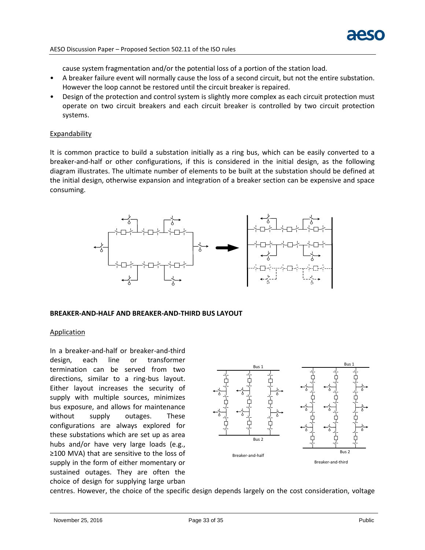cause system fragmentation and/or the potential loss of a portion of the station load.

- A breaker failure event will normally cause the loss of a second circuit, but not the entire substation. However the loop cannot be restored until the circuit breaker is repaired.
- Design of the protection and control system is slightly more complex as each circuit protection must operate on two circuit breakers and each circuit breaker is controlled by two circuit protection systems.

#### **Expandability**

It is common practice to build a substation initially as a ring bus, which can be easily converted to a breaker-and-half or other configurations, if this is considered in the initial design, as the following diagram illustrates. The ultimate number of elements to be built at the substation should be defined at the initial design, otherwise expansion and integration of a breaker section can be expensive and space consuming.



#### **BREAKER-AND-HALF AND BREAKER-AND-THIRD BUS LAYOUT**

#### **Application**

In a breaker-and-half or breaker-and-third design, each line or transformer termination can be served from two directions, similar to a ring-bus layout. Either layout increases the security of supply with multiple sources, minimizes bus exposure, and allows for maintenance without supply outages. These configurations are always explored for these substations which are set up as area hubs and/or have very large loads (e.g., ≥100 MVA) that are sensitive to the loss of supply in the form of either momentary or sustained outages. They are often the choice of design for supplying large urban



centres. However, the choice of the specific design depends largely on the cost consideration, voltage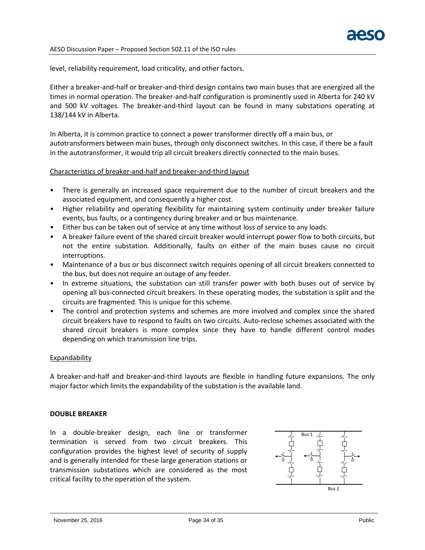level, reliability requirement, load criticality, and other factors.

Either a breaker-and-half or breaker-and-third design contains two main buses that are energized all the times in normal operation. The breaker-and-half configuration is prominently used in Alberta for 240 kV and 500 kV voltages. The breaker-and-third layout can be found in many substations operating at 138/144 kV in Alberta.

In Alberta, it is common practice to connect a power transformer directly off a main bus, or autotransformers between main buses, through only disconnect switches. In this case, if there be a fault in the autotransformer, it would trip all circuit breakers directly connected to the main buses.

#### Characteristics of breaker-and-half and breaker-and-third layout

- There is generally an increased space requirement due to the number of circuit breakers and the associated equipment, and consequently a higher cost.
- Higher reliability and operating flexibility for maintaining system continuity under breaker failure events, bus faults, or a contingency during breaker and or bus maintenance.
- Either bus can be taken out of service at any time without loss of service to any loads.
- A breaker failure event of the shared circuit breaker would interrupt power flow to both circuits, but not the entire substation. Additionally, faults on either of the main buses cause no circuit interruptions.
- Maintenance of a bus or bus disconnect switch requires opening of all circuit breakers connected to the bus, but does not require an outage of any feeder.
- In extreme situations, the substation can still transfer power with both buses out of service by opening all bus-connected circuit breakers. In these operating modes, the substation is split and the circuits are fragmented. This is unique for this scheme.
- The control and protection systems and schemes are more involved and complex since the shared circuit breakers have to respond to faults on two circuits. Auto-reclose schemes associated with the shared circuit breakers is more complex since they have to handle different control modes depending on which transmission line trips.

#### **Expandability**

A breaker-and-half and breaker-and-third layouts are flexible in handling future expansions. The only major factor which limits the expandability of the substation is the available land.

#### **DOUBLE BREAKER**

In a double-breaker design, each line or transformer termination is served from two circuit breakers. This configuration provides the highest level of security of supply and is generally intended for these large generation stations or transmission substations which are considered as the most critical facility to the operation of the system.